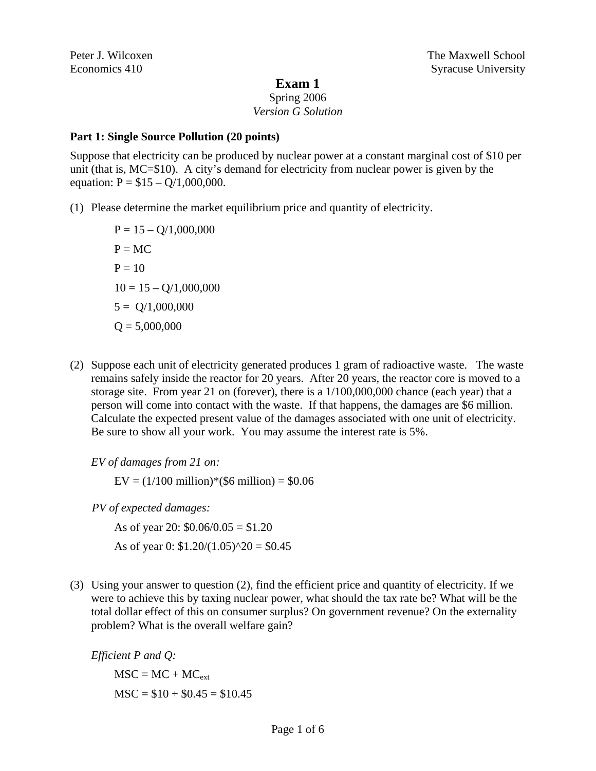#### **Exam 1**

Spring 2006

# *Version G Solution*

### **Part 1: Single Source Pollution (20 points)**

Suppose that electricity can be produced by nuclear power at a constant marginal cost of \$10 per unit (that is, MC=\$10). A city's demand for electricity from nuclear power is given by the equation:  $P = $15 - O/1,000,000$ .

(1) Please determine the market equilibrium price and quantity of electricity.

 $P = 15 - Q/1,000,000$  $P = MC$  $P = 10$  $10 = 15 - O/1,000,000$  $5 = Q/1,000,000$  $Q = 5,000,000$ 

(2) Suppose each unit of electricity generated produces 1 gram of radioactive waste. The waste remains safely inside the reactor for 20 years. After 20 years, the reactor core is moved to a storage site. From year 21 on (forever), there is a 1/100,000,000 chance (each year) that a person will come into contact with the waste. If that happens, the damages are \$6 million. Calculate the expected present value of the damages associated with one unit of electricity. Be sure to show all your work. You may assume the interest rate is 5%.

*EV of damages from 21 on:* 

 $EV = (1/100 \text{ million})*(\$6 \text{ million}) = \$0.06$ 

 *PV of expected damages:* 

As of year 20:  $$0.06/0.05 = $1.20$ 

As of year 0:  $$1.20/(1.05)^{20} = $0.45$ 

(3) Using your answer to question (2), find the efficient price and quantity of electricity. If we were to achieve this by taxing nuclear power, what should the tax rate be? What will be the total dollar effect of this on consumer surplus? On government revenue? On the externality problem? What is the overall welfare gain?

*Efficient P and Q:* 

 $MSC = MC + MC_{ext}$  $MSC = $10 + $0.45 = $10.45$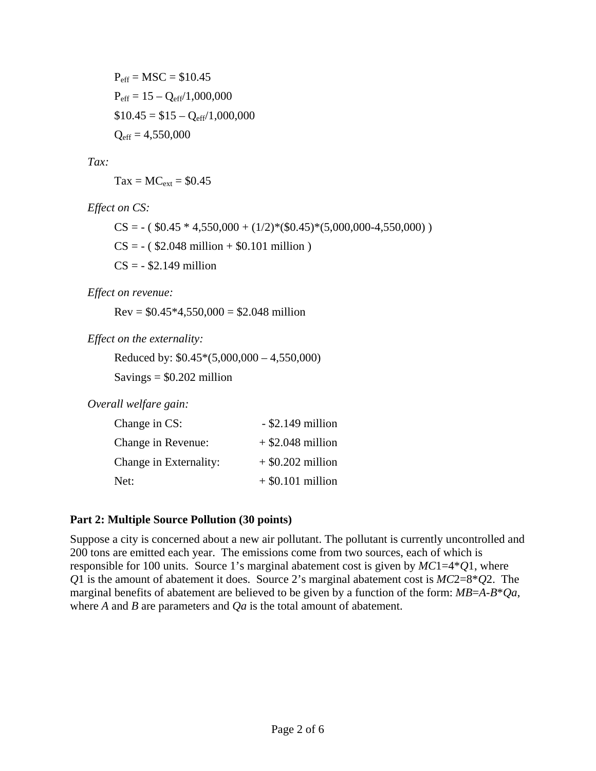$P_{\text{eff}} = \text{MSC} = $10.45$  $P_{\text{eff}} = 15 - Q_{\text{eff}}/1,000,000$  $$10.45 = $15 - Q_{eff}/1,000,000$  $Q_{\text{eff}} = 4,550,000$ 

*Tax:* 

 $Tax = MC_{ext} = $0.45$ 

*Effect on CS:*

 $CS = -($  \$0.45  $*$  4,550,000 + (1/2) $*($ \$0.45) $*($ 5,000,000-4,550,000))  $CS = -($  \$2.048 million + \$0.101 million )  $CS = -$  \$2.149 million

*Effect on revenue:* 

 $Rev = $0.45*4,550,000 = $2.048$  million

*Effect on the externality:* 

Reduced by: \$0.45\*(5,000,000 – 4,550,000)

 $Savings = $0.202$  million

*Overall welfare gain:* 

| Change in CS:          | $-$ \$2.149 million |
|------------------------|---------------------|
| Change in Revenue:     | $+$ \$2.048 million |
| Change in Externality: | $+$ \$0.202 million |
| Net:                   | $+$ \$0.101 million |

## **Part 2: Multiple Source Pollution (30 points)**

Suppose a city is concerned about a new air pollutant. The pollutant is currently uncontrolled and 200 tons are emitted each year. The emissions come from two sources, each of which is responsible for 100 units. Source 1's marginal abatement cost is given by *MC*1=4\**Q*1, where *Q*1 is the amount of abatement it does. Source 2's marginal abatement cost is *MC*2=8\**Q*2. The marginal benefits of abatement are believed to be given by a function of the form: *MB*=*A*-*B*\**Qa*, where *A* and *B* are parameters and *Qa* is the total amount of abatement.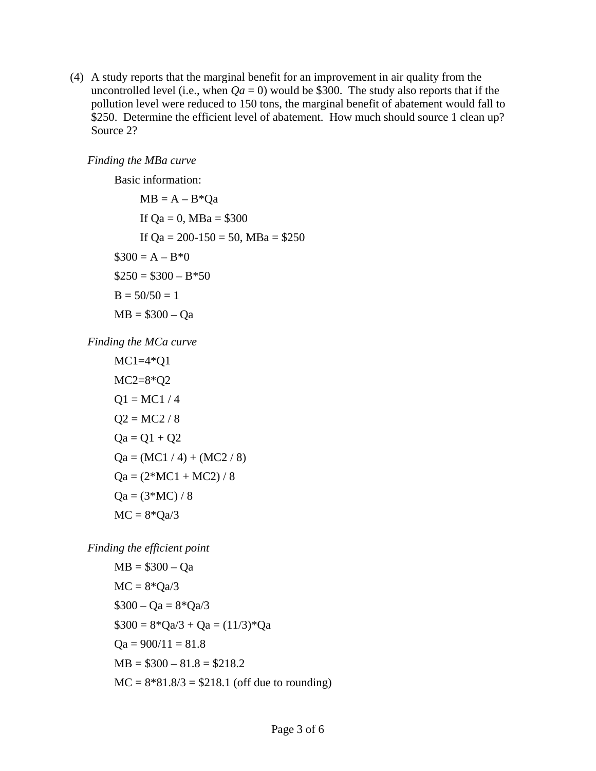(4) A study reports that the marginal benefit for an improvement in air quality from the uncontrolled level (i.e., when  $Qa = 0$ ) would be \$300. The study also reports that if the pollution level were reduced to 150 tons, the marginal benefit of abatement would fall to \$250. Determine the efficient level of abatement. How much should source 1 clean up? Source 2?

*Finding the MBa curve* 

Basic information:

 $MB = A - B^*Qa$ If  $Qa = 0$ , MBa = \$300 If  $Qa = 200-150 = 50$ , MBa = \$250  $\$300 = A - B^*0$  $$250 = $300 - B*50$  $B = 50/50 = 1$  $MB = $300 - Qa$ 

*Finding the MCa curve* 

$$
MC1=4*Q1
$$
  
\n
$$
MC2=8*Q2
$$
  
\n
$$
Q1 = MC1 / 4
$$
  
\n
$$
Q2 = MC2 / 8
$$
  
\n
$$
Qa = Q1 + Q2
$$
  
\n
$$
Qa = (MC1 / 4) + (MC2 / 8)
$$
  
\n
$$
Qa = (2*MC1 + MC2) / 8
$$
  
\n
$$
Qa = (3*MC) / 8
$$
  
\n
$$
MC = 8*Qa/3
$$

*Finding the efficient point* 

$$
MB = $300 - Qa
$$
  
MC = 8\*Qa/3  
\$300 - Qa = 8\*Qa/3  

$$
$300 = 8*Qa/3 + Qa = (11/3)*Qa
$$
  
Qa = 900/11 = 81.8  
MB = \$300 - 81.8 = \$218.2  
MC = 8\*81.8/3 = \$218.1 (off due to rounding)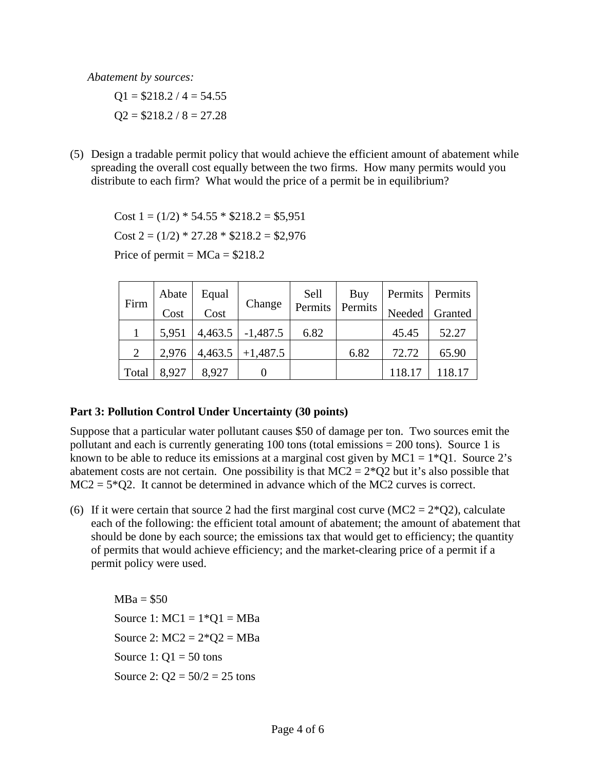*Abatement by sources:* 

 $Q1 = $218.2 / 4 = 54.55$  $Q2 = $218.2 / 8 = 27.28$ 

(5) Design a tradable permit policy that would achieve the efficient amount of abatement while spreading the overall cost equally between the two firms. How many permits would you distribute to each firm? What would the price of a permit be in equilibrium?

Cost  $1 = (1/2) * 54.55 * $218.2 = $5,951$ Cost  $2 = (1/2) * 27.28 * $218.2 = $2,976$ 

Price of permit =  $MCa = $218.2$ 

| Firm  | Abate | Equal   | Change       | Sell | Buy               | Permits   Permits |         |
|-------|-------|---------|--------------|------|-------------------|-------------------|---------|
|       | Cost  | Cost    |              |      | Permits   Permits | Needed            | Granted |
|       | 5,951 | 4,463.5 | $  -1,487.5$ | 6.82 |                   | 45.45             | 52.27   |
| 2     | 2,976 | 4,463.5 | $+1,487.5$   |      | 6.82              | 72.72             | 65.90   |
| Total | 8,927 | 8,927   |              |      |                   | 118.17            | 118.17  |

#### **Part 3: Pollution Control Under Uncertainty (30 points)**

Suppose that a particular water pollutant causes \$50 of damage per ton. Two sources emit the pollutant and each is currently generating 100 tons (total emissions = 200 tons). Source 1 is known to be able to reduce its emissions at a marginal cost given by  $MC1 = 1*Q1$ . Source 2's abatement costs are not certain. One possibility is that  $MC2 = 2*Q2$  but it's also possible that  $MC2 = 5*Q2$ . It cannot be determined in advance which of the MC2 curves is correct.

(6) If it were certain that source 2 had the first marginal cost curve (MC2 =  $2*Q2$ ), calculate each of the following: the efficient total amount of abatement; the amount of abatement that should be done by each source; the emissions tax that would get to efficiency; the quantity of permits that would achieve efficiency; and the market-clearing price of a permit if a permit policy were used.

 $MBa = $50$ Source 1:  $MC1 = 1*O1 = MBa$ Source 2:  $MC2 = 2*Q2 = MBa$ Source 1:  $Q1 = 50$  tons Source 2:  $Q2 = 50/2 = 25$  tons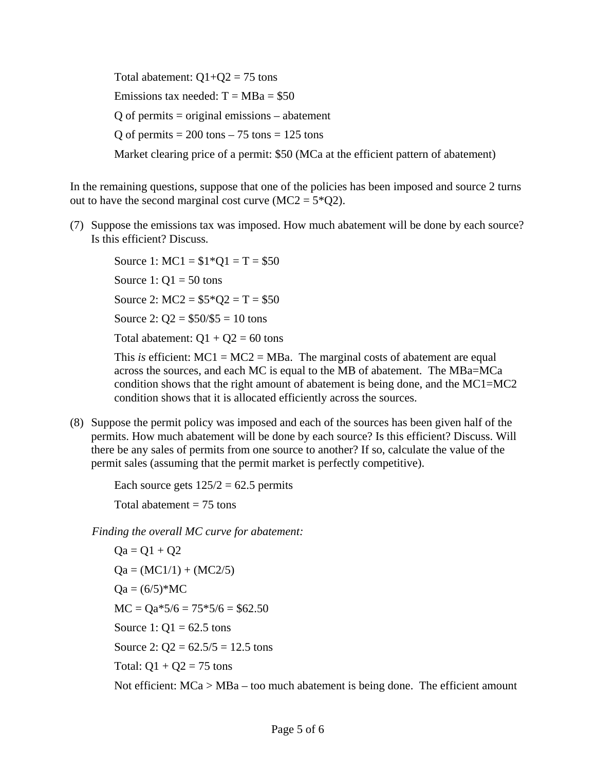Total abatement:  $Q1+Q2 = 75$  tons Emissions tax needed:  $T = MBa = $50$  $Q$  of permits = original emissions – abatement Q of permits  $= 200$  tons  $- 75$  tons  $= 125$  tons Market clearing price of a permit: \$50 (MCa at the efficient pattern of abatement)

In the remaining questions, suppose that one of the policies has been imposed and source 2 turns out to have the second marginal cost curve  $(MC2 = 5*Q2)$ .

(7) Suppose the emissions tax was imposed. How much abatement will be done by each source? Is this efficient? Discuss.

Source 1:  $MC1 = $1*Q1 = T = $50$ Source 1:  $Q1 = 50$  tons Source 2:  $MC2 = $5 \times 2 = T = $50$ Source 2:  $Q2 = $50/$5 = 10$  tons Total abatement:  $Q1 + Q2 = 60$  tons

This *is* efficient:  $MC1 = MC2 = MBa$ . The marginal costs of abatement are equal across the sources, and each MC is equal to the MB of abatement. The MBa=MCa condition shows that the right amount of abatement is being done, and the MC1=MC2 condition shows that it is allocated efficiently across the sources.

(8) Suppose the permit policy was imposed and each of the sources has been given half of the permits. How much abatement will be done by each source? Is this efficient? Discuss. Will there be any sales of permits from one source to another? If so, calculate the value of the permit sales (assuming that the permit market is perfectly competitive).

Each source gets  $125/2 = 62.5$  permits

Total abatement  $= 75$  tons

*Finding the overall MC curve for abatement:* 

 $Qa = Q1 + Q2$  $Qa = (MC1/1) + (MC2/5)$  $Qa = (6/5)*MC$  $MC = Qa*5/6 = 75*5/6 = $62.50$ Source 1:  $Q1 = 62.5$  tons Source 2:  $Q_2 = 62.5/5 = 12.5$  tons Total:  $Q1 + Q2 = 75$  tons Not efficient: MCa > MBa – too much abatement is being done. The efficient amount